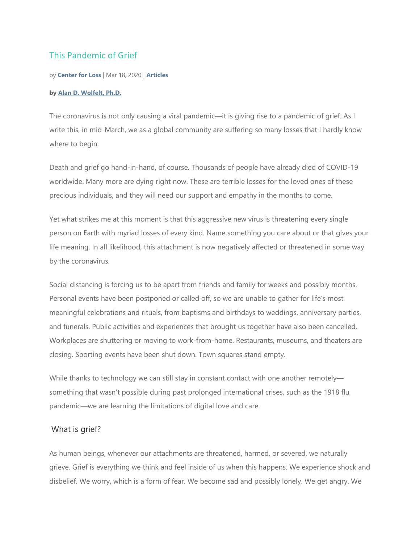# This Pandemic of Grief

#### by **Center for Loss** | Mar 18, 2020 | **Articles**

#### **by Alan D. Wolfelt, Ph.D.**

The coronavirus is not only causing a viral pandemic—it is giving rise to a pandemic of grief. As I write this, in mid-March, we as a global community are suffering so many losses that I hardly know where to begin.

Death and grief go hand-in-hand, of course. Thousands of people have already died of COVID-19 worldwide. Many more are dying right now. These are terrible losses for the loved ones of these precious individuals, and they will need our support and empathy in the months to come.

Yet what strikes me at this moment is that this aggressive new virus is threatening every single person on Earth with myriad losses of every kind. Name something you care about or that gives your life meaning. In all likelihood, this attachment is now negatively affected or threatened in some way by the coronavirus.

Social distancing is forcing us to be apart from friends and family for weeks and possibly months. Personal events have been postponed or called off, so we are unable to gather for life's most meaningful celebrations and rituals, from baptisms and birthdays to weddings, anniversary parties, and funerals. Public activities and experiences that brought us together have also been cancelled. Workplaces are shuttering or moving to work-from-home. Restaurants, museums, and theaters are closing. Sporting events have been shut down. Town squares stand empty.

While thanks to technology we can still stay in constant contact with one another remotely something that wasn't possible during past prolonged international crises, such as the 1918 flu pandemic—we are learning the limitations of digital love and care.

### What is grief?

As human beings, whenever our attachments are threatened, harmed, or severed, we naturally grieve. Grief is everything we think and feel inside of us when this happens. We experience shock and disbelief. We worry, which is a form of fear. We become sad and possibly lonely. We get angry. We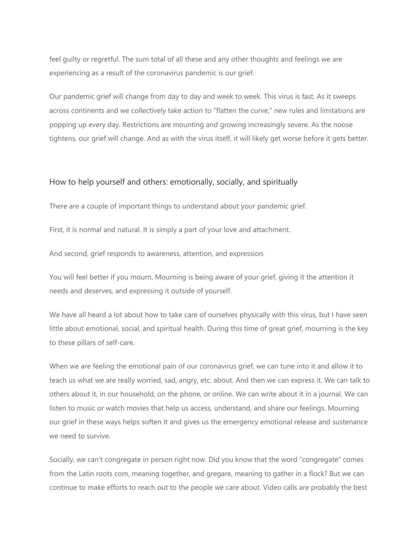feel guilty or regretful. The sum total of all these and any other thoughts and feelings we are experiencing as a result of the coronavirus pandemic is our grief.

Our pandemic grief will change from day to day and week to week. This virus is fast. As it sweeps across continents and we collectively take action to "flatten the curve," new rules and limitations are popping up every day. Restrictions are mounting and growing increasingly severe. As the noose tightens, our grief will change. And as with the virus itself, it will likely get worse before it gets better.

## How to help yourself and others: emotionally, socially, and spiritually

There are a couple of important things to understand about your pandemic grief.

First, it is normal and natural. It is simply a part of your love and attachment.

And second, grief responds to awareness, attention, and expression.

You will feel better if you mourn. Mourning is being aware of your grief, giving it the attention it needs and deserves, and expressing it outside of yourself.

We have all heard a lot about how to take care of ourselves physically with this virus, but I have seen little about emotional, social, and spiritual health. During this time of great grief, mourning is the key to these pillars of self-care.

When we are feeling the emotional pain of our coronavirus grief, we can tune into it and allow it to teach us what we are really worried, sad, angry, etc. about. And then we can express it. We can talk to others about it, in our household, on the phone, or online. We can write about it in a journal. We can listen to music or watch movies that help us access, understand, and share our feelings. Mourning our grief in these ways helps soften it and gives us the emergency emotional release and sustenance we need to survive.

Socially, we can't congregate in person right now. Did you know that the word "congregate" comes from the Latin roots com, meaning together, and gregare, meaning to gather in a flock? But we can continue to make efforts to reach out to the people we care about. Video calls are probably the best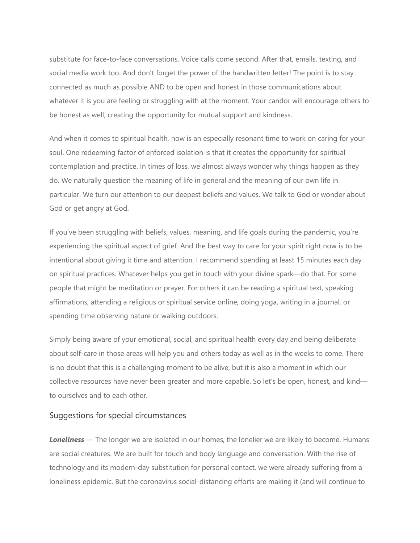substitute for face-to-face conversations. Voice calls come second. After that, emails, texting, and social media work too. And don't forget the power of the handwritten letter! The point is to stay connected as much as possible AND to be open and honest in those communications about whatever it is you are feeling or struggling with at the moment. Your candor will encourage others to be honest as well, creating the opportunity for mutual support and kindness.

And when it comes to spiritual health, now is an especially resonant time to work on caring for your soul. One redeeming factor of enforced isolation is that it creates the opportunity for spiritual contemplation and practice. In times of loss, we almost always wonder why things happen as they do. We naturally question the meaning of life in general and the meaning of our own life in particular. We turn our attention to our deepest beliefs and values. We talk to God or wonder about God or get angry at God.

If you've been struggling with beliefs, values, meaning, and life goals during the pandemic, you're experiencing the spiritual aspect of grief. And the best way to care for your spirit right now is to be intentional about giving it time and attention. I recommend spending at least 15 minutes each day on spiritual practices. Whatever helps you get in touch with your divine spark—do that. For some people that might be meditation or prayer. For others it can be reading a spiritual text, speaking affirmations, attending a religious or spiritual service online, doing yoga, writing in a journal, or spending time observing nature or walking outdoors.

Simply being aware of your emotional, social, and spiritual health every day and being deliberate about self-care in those areas will help you and others today as well as in the weeks to come. There is no doubt that this is a challenging moment to be alive, but it is also a moment in which our collective resources have never been greater and more capable. So let's be open, honest, and kind to ourselves and to each other.

### Suggestions for special circumstances

**Loneliness** — The longer we are isolated in our homes, the lonelier we are likely to become. Humans are social creatures. We are built for touch and body language and conversation. With the rise of technology and its modern-day substitution for personal contact, we were already suffering from a loneliness epidemic. But the coronavirus social-distancing efforts are making it (and will continue to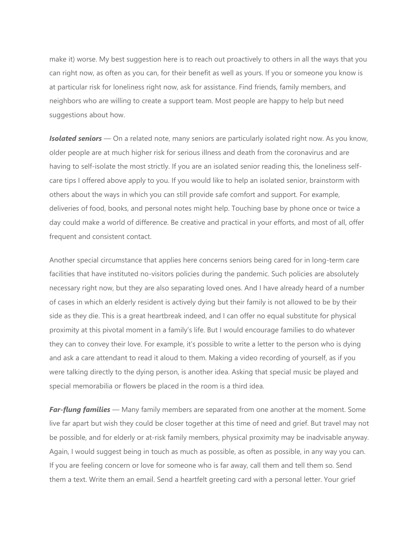make it) worse. My best suggestion here is to reach out proactively to others in all the ways that you can right now, as often as you can, for their benefit as well as yours. If you or someone you know is at particular risk for loneliness right now, ask for assistance. Find friends, family members, and neighbors who are willing to create a support team. Most people are happy to help but need suggestions about how.

*Isolated seniors* — On a related note, many seniors are particularly isolated right now. As you know, older people are at much higher risk for serious illness and death from the coronavirus and are having to self-isolate the most strictly. If you are an isolated senior reading this, the loneliness selfcare tips I offered above apply to you. If you would like to help an isolated senior, brainstorm with others about the ways in which you can still provide safe comfort and support. For example, deliveries of food, books, and personal notes might help. Touching base by phone once or twice a day could make a world of difference. Be creative and practical in your efforts, and most of all, offer frequent and consistent contact.

Another special circumstance that applies here concerns seniors being cared for in long-term care facilities that have instituted no-visitors policies during the pandemic. Such policies are absolutely necessary right now, but they are also separating loved ones. And I have already heard of a number of cases in which an elderly resident is actively dying but their family is not allowed to be by their side as they die. This is a great heartbreak indeed, and I can offer no equal substitute for physical proximity at this pivotal moment in a family's life. But I would encourage families to do whatever they can to convey their love. For example, it's possible to write a letter to the person who is dying and ask a care attendant to read it aloud to them. Making a video recording of yourself, as if you were talking directly to the dying person, is another idea. Asking that special music be played and special memorabilia or flowers be placed in the room is a third idea.

*Far-flung families* — Many family members are separated from one another at the moment. Some live far apart but wish they could be closer together at this time of need and grief. But travel may not be possible, and for elderly or at-risk family members, physical proximity may be inadvisable anyway. Again, I would suggest being in touch as much as possible, as often as possible, in any way you can. If you are feeling concern or love for someone who is far away, call them and tell them so. Send them a text. Write them an email. Send a heartfelt greeting card with a personal letter. Your grief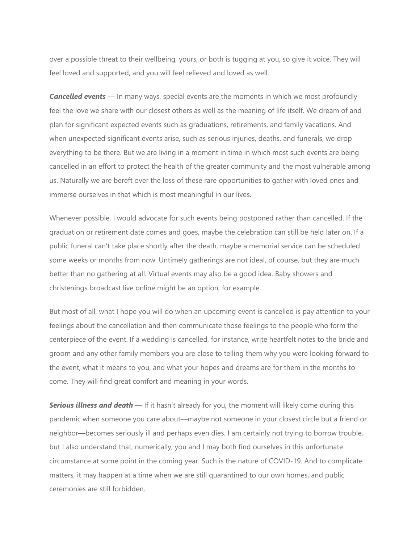over a possible threat to their wellbeing, yours, or both is tugging at you, so give it voice. They will feel loved and supported, and you will feel relieved and loved as well.

**Cancelled events** — In many ways, special events are the moments in which we most profoundly feel the love we share with our closest others as well as the meaning of life itself. We dream of and plan for significant expected events such as graduations, retirements, and family vacations. And when unexpected significant events arise, such as serious injuries, deaths, and funerals, we drop everything to be there. But we are living in a moment in time in which most such events are being cancelled in an effort to protect the health of the greater community and the most vulnerable among us. Naturally we are bereft over the loss of these rare opportunities to gather with loved ones and immerse ourselves in that which is most meaningful in our lives.

Whenever possible, I would advocate for such events being postponed rather than cancelled. If the graduation or retirement date comes and goes, maybe the celebration can still be held later on. If a public funeral can't take place shortly after the death, maybe a memorial service can be scheduled some weeks or months from now. Untimely gatherings are not ideal, of course, but they are much better than no gathering at all. Virtual events may also be a good idea. Baby showers and christenings broadcast live online might be an option, for example.

But most of all, what I hope you will do when an upcoming event is cancelled is pay attention to your feelings about the cancellation and then communicate those feelings to the people who form the centerpiece of the event. If a wedding is cancelled, for instance, write heartfelt notes to the bride and groom and any other family members you are close to telling them why you were looking forward to the event, what it means to you, and what your hopes and dreams are for them in the months to come. They will find great comfort and meaning in your words.

*Serious illness and death* — If it hasn't already for you, the moment will likely come during this pandemic when someone you care about—maybe not someone in your closest circle but a friend or neighbor—becomes seriously ill and perhaps even dies. I am certainly not trying to borrow trouble, but I also understand that, numerically, you and I may both find ourselves in this unfortunate circumstance at some point in the coming year. Such is the nature of COVID-19. And to complicate matters, it may happen at a time when we are still quarantined to our own homes, and public ceremonies are still forbidden.